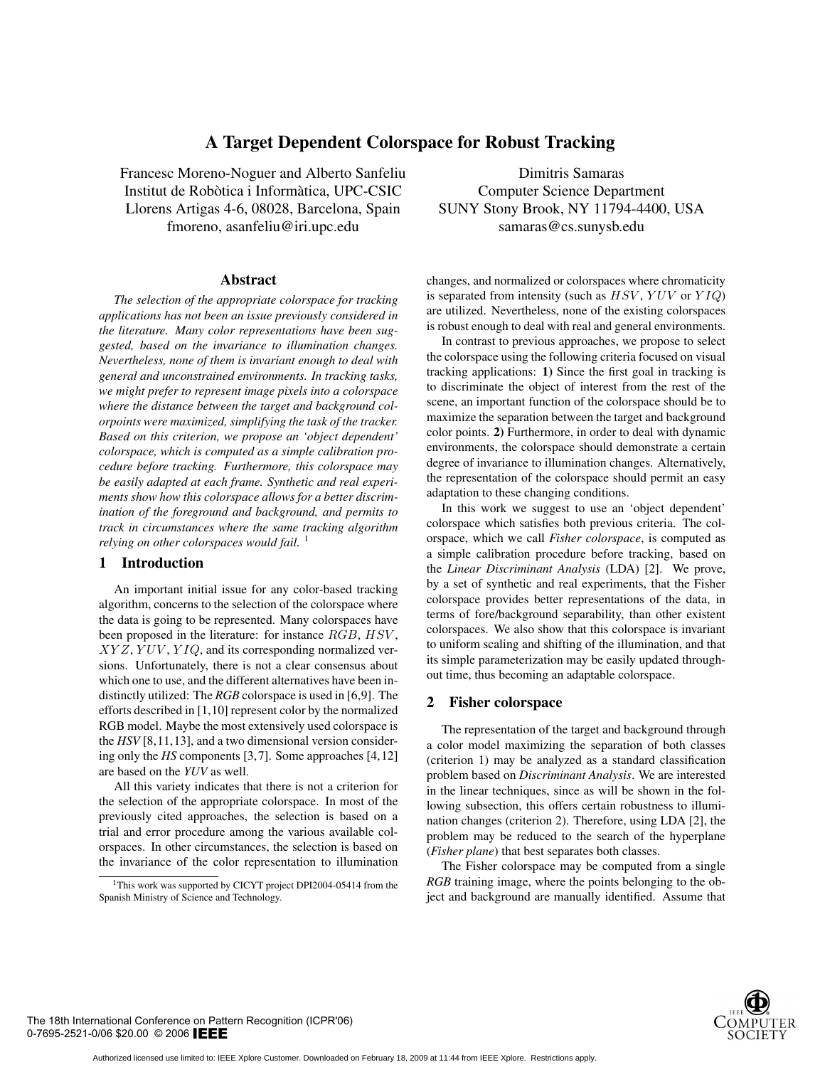# **A Target Dependent Colorspace for Robust Tracking**

Francesc Moreno-Noguer and Alberto Sanfeliu Institut de Robòtica i Informàtica, UPC-CSIC Llorens Artigas 4-6, 08028, Barcelona, Spain fmoreno, asanfeliu@iri.upc.edu

### **Abstract**

*The selection of the appropriate colorspace for tracking applications has not been an issue previously considered in the literature. Many color representations have been suggested, based on the invariance to illumination changes. Nevertheless, none of them is invariant enough to deal with general and unconstrained environments. In tracking tasks, we might prefer to represent image pixels into a colorspace where the distance between the target and background colorpoints were maximized, simplifying the task of the tracker. Based on this criterion, we propose an 'object dependent' colorspace, which is computed as a simple calibration procedure before tracking. Furthermore, this colorspace may be easily adapted at each frame. Synthetic and real experiments show how this colorspace allows for a better discrimination of the foreground and background, and permits to track in circumstances where the same tracking algorithm relying on other colorspaces would fail.* <sup>1</sup>

## **1 Introduction**

An important initial issue for any color-based tracking algorithm, concerns to the selection of the colorspace where the data is going to be represented. Many colorspaces have been proposed in the literature: for instance RGB, HSV,  $XYZ, YUV, YIQ,$  and its corresponding normalized versions. Unfortunately, there is not a clear consensus about which one to use, and the different alternatives have been indistinctly utilized: The *RGB* colorspace is used in [6,9]. The efforts described in [1,10] represent color by the normalized RGB model. Maybe the most extensively used colorspace is the *HSV* [8,11,13], and a two dimensional version considering only the *HS* components [3,7]. Some approaches [4,12] are based on the *YUV* as well.

All this variety indicates that there is not a criterion for the selection of the appropriate colorspace. In most of the previously cited approaches, the selection is based on a trial and error procedure among the various available colorspaces. In other circumstances, the selection is based on the invariance of the color representation to illumination

Dimitris Samaras Computer Science Department SUNY Stony Brook, NY 11794-4400, USA samaras@cs.sunysb.edu

changes, and normalized or colorspaces where chromaticity is separated from intensity (such as  $HSV$ ,  $YUV$  or  $YIQ$ ) are utilized. Nevertheless, none of the existing colorspaces is robust enough to deal with real and general environments.

In contrast to previous approaches, we propose to select the colorspace using the following criteria focused on visual tracking applications: **1)** Since the first goal in tracking is to discriminate the object of interest from the rest of the scene, an important function of the colorspace should be to maximize the separation between the target and background color points. **2)** Furthermore, in order to deal with dynamic environments, the colorspace should demonstrate a certain degree of invariance to illumination changes. Alternatively, the representation of the colorspace should permit an easy adaptation to these changing conditions.

In this work we suggest to use an 'object dependent' colorspace which satisfies both previous criteria. The colorspace, which we call *Fisher colorspace*, is computed as a simple calibration procedure before tracking, based on the *Linear Discriminant Analysis* (LDA) [2]. We prove, by a set of synthetic and real experiments, that the Fisher colorspace provides better representations of the data, in terms of fore/background separability, than other existent colorspaces. We also show that this colorspace is invariant to uniform scaling and shifting of the illumination, and that its simple parameterization may be easily updated throughout time, thus becoming an adaptable colorspace.

### **2 Fisher colorspace**

The representation of the target and background through a color model maximizing the separation of both classes (criterion 1) may be analyzed as a standard classification problem based on *Discriminant Analysis*. We are interested in the linear techniques, since as will be shown in the following subsection, this offers certain robustness to illumination changes (criterion 2). Therefore, using LDA [2], the problem may be reduced to the search of the hyperplane (*Fisher plane*) that best separates both classes.

The Fisher colorspace may be computed from a single *RGB* training image, where the points belonging to the object and background are manually identified. Assume that



<sup>&</sup>lt;sup>1</sup>This work was supported by CICYT project DPI2004-05414 from the Spanish Ministry of Science and Technology.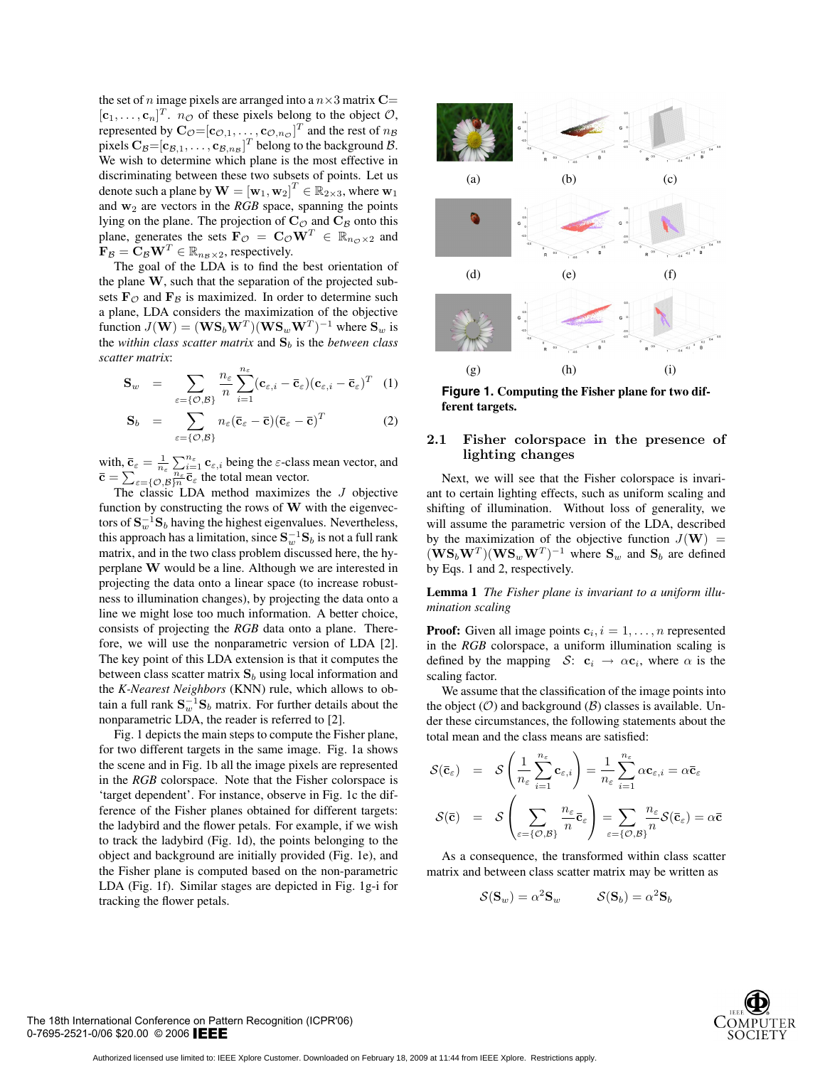the set of n image pixels are arranged into a  $n \times 3$  matrix  $C=$  $[\mathbf{c}_1, \dots, \mathbf{c}_n]^T$ .  $n_{\mathcal{O}}$  of these pixels belong to the object  $\mathcal{O}$ ,<br>represented by  $\mathbf{C}_{\mathcal{O}} = [\mathbf{c}_0, \dots, \mathbf{c}_\mathcal{O}]$  of and the rest of  $n_{\mathcal{O}}$ represented by  $\mathbf{C}_\mathcal{O} = [\mathbf{c}_{\mathcal{O},1}, \dots, \mathbf{c}_{\mathcal{O},n_\mathcal{O}}]^T$  and the rest of  $n_\mathcal{B}$ <br>pixels  $\mathbf{C}_\mathcal{O} = [\mathbf{c}_\mathcal{B}]$ ,  $\mathbf{c}_\mathcal{B} = [\mathbf{c}_\mathcal{B}]$ ,  $\mathbf{c}_\mathcal{B} = [\mathbf{c}_\mathcal{B}]$ ,  $\mathbf{c}_\mathcal{B} = [\mathbf{c}_\mathcal{B}]$ ,  $\math$ pixels  $C_B = [c_{B,1}, \ldots, c_{B,nB}]^T$  belong to the background B.<br>We wish to determine which plane is the most effective in We wish to determine which plane is the most effective in discriminating between these two subsets of points. Let us denote such a plane by  $\mathbf{W} = [\mathbf{w}_1, \mathbf{w}_2]^T \in \mathbb{R}^2_{2 \times 3}$ , where  $\mathbf{w}_1$ <br>and  $\mathbf{w}_2$  are vectors in the *RGB* space, spanning the points and  $w_2$  are vectors in the *RGB* space, spanning the points lying on the plane. The projection of  $C_{\mathcal{O}}$  and  $C_{\mathcal{B}}$  onto this plane, generates the sets  $\mathbf{F}_{\mathcal{O}} = \mathbf{C}_{\mathcal{O}} \mathbf{W}^T \in \mathbb{R}_{n_{\mathcal{O}} \times 2}$  and  $\mathbf{F}_{\mathcal{B}} = \mathbf{C}_{\mathcal{B}} \mathbf{W}^T \in \mathbb{R}_{n_{\mathcal{B}} \times 2}$ , respectively.

The goal of the LDA is to find the best orientation of the plane **W**, such that the separation of the projected subsets  $\mathbf{F}_{\mathcal{O}}$  and  $\mathbf{F}_{\mathcal{B}}$  is maximized. In order to determine such a plane, LDA considers the maximization of the objective function  $J(\mathbf{W}) = (\mathbf{WS}_b \mathbf{W}^T) (\mathbf{WS}_w \mathbf{W}^T)^{-1}$  where  $\mathbf{S}_w$  is the *within class scatter matrix* and  $S_b$  is the *between class scatter matrix*:

$$
\mathbf{S}_{w} = \sum_{\varepsilon = \{\mathcal{O}, \mathcal{B}\}} \frac{n_{\varepsilon}}{n} \sum_{i=1}^{n_{\varepsilon}} (\mathbf{c}_{\varepsilon, i} - \overline{\mathbf{c}}_{\varepsilon}) (\mathbf{c}_{\varepsilon, i} - \overline{\mathbf{c}}_{\varepsilon})^{T} (1)
$$

$$
\mathbf{S}_b = \sum_{\varepsilon = \{ \mathcal{O}, \mathcal{B} \}} n_{\varepsilon} (\mathbf{\bar{c}}_{\varepsilon} - \mathbf{\bar{c}}) (\mathbf{\bar{c}}_{\varepsilon} - \mathbf{\bar{c}})^T
$$
(2)

with,  $\bar{\mathbf{c}}_{\varepsilon} = \frac{1}{n_{\varepsilon}} \sum_{\substack{n_{\varepsilon} \\ n_{\varepsilon} = n}}^{n_{\varepsilon}} \mathbf{c}_{\varepsilon,i}$  being the  $\varepsilon$ -class mean vector, and  $\bar{\mathbf{c}} = \sum_{\varepsilon= \{ \mathcal{O}, \mathcal{B}\}_n^{\text{inc}}} \overline{\mathbf{c}}_{\varepsilon}^{\text{inc}}$  the total mean vector.

The classic LDA method maximizes the  $J$  objective function by constructing the rows of **W** with the eigenvectors of  $S_{w}^{-1}S_{b}$  having the highest eigenvalues. Nevertheless, this approach has a limitation, since  $S_w^{-1}S_b$  is not a full rank matrix, and in the two class problem discussed here, the hyperplane **W** would be a line. Although we are interested in projecting the data onto a linear space (to increase robustness to illumination changes), by projecting the data onto a line we might lose too much information. A better choice, consists of projecting the *RGB* data onto a plane. Therefore, we will use the nonparametric version of LDA [2]. The key point of this LDA extension is that it computes the between class scatter matrix  $S_b$  using local information and the *K-Nearest Neighbors* (KNN) rule, which allows to obtain a full rank  $S_w^{-1}S_b$  matrix. For further details about the nonparametric LDA, the reader is referred to [2].

Fig. 1 depicts the main steps to compute the Fisher plane, for two different targets in the same image. Fig. 1a shows the scene and in Fig. 1b all the image pixels are represented in the *RGB* colorspace. Note that the Fisher colorspace is 'target dependent'. For instance, observe in Fig. 1c the difference of the Fisher planes obtained for different targets: the ladybird and the flower petals. For example, if we wish to track the ladybird (Fig. 1d), the points belonging to the object and background are initially provided (Fig. 1e), and the Fisher plane is computed based on the non-parametric LDA (Fig. 1f). Similar stages are depicted in Fig. 1g-i for tracking the flower petals.



**Figure 1. Computing the Fisher plane for two different targets.**

# **2.1 Fisher colorspace in the presence of lighting changes**

Next, we will see that the Fisher colorspace is invariant to certain lighting effects, such as uniform scaling and shifting of illumination. Without loss of generality, we will assume the parametric version of the LDA, described by the maximization of the objective function  $J(\mathbf{W})$  =  $(\mathbf{WS}_b \mathbf{W}^T)(\mathbf{WS}_w \mathbf{W}^T)^{-1}$  where  $\mathbf{S}_w$  and  $\mathbf{S}_b$  are defined by Eqs. 1 and 2, respectively.

**Lemma 1** *The Fisher plane is invariant to a uniform illumination scaling*

**Proof:** Given all image points  $\mathbf{c}_i$ ,  $i = 1, \ldots, n$  represented in the *RGB* colorspace, a uniform illumination scaling is defined by the mapping  $S:$  **c**<sub>i</sub>  $\rightarrow \alpha$ **c**<sub>i</sub>, where  $\alpha$  is the scaling factor.

We assume that the classification of the image points into the object  $(0)$  and background  $(B)$  classes is available. Under these circumstances, the following statements about the total mean and the class means are satisfied:

$$
\mathcal{S}(\bar{\mathbf{c}}_{\varepsilon}) = \mathcal{S}\left(\frac{1}{n_{\varepsilon}}\sum_{i=1}^{n_{\varepsilon}} \mathbf{c}_{\varepsilon,i}\right) = \frac{1}{n_{\varepsilon}}\sum_{i=1}^{n_{\varepsilon}} \alpha \mathbf{c}_{\varepsilon,i} = \alpha \bar{\mathbf{c}}_{\varepsilon}
$$

$$
\mathcal{S}(\bar{\mathbf{c}}) = \mathcal{S}\left(\sum_{\varepsilon = \{\mathcal{O},\mathcal{B}\}} \frac{n_{\varepsilon}}{n} \bar{\mathbf{c}}_{\varepsilon}\right) = \sum_{\varepsilon = \{\mathcal{O},\mathcal{B}\}} \frac{n_{\varepsilon}}{n} \mathcal{S}(\bar{\mathbf{c}}_{\varepsilon}) = \alpha \bar{\mathbf{c}}
$$

As a consequence, the transformed within class scatter matrix and between class scatter matrix may be written as

$$
\mathcal{S}(\mathbf{S}_w) = \alpha^2 \mathbf{S}_w \qquad \qquad \mathcal{S}(\mathbf{S}_b) = \alpha^2 \mathbf{S}_b
$$



The 18th International Conference on Pattern Recognition (ICPR'06) 0-7695-2521-0/06 \$20.00 © 2006 EEE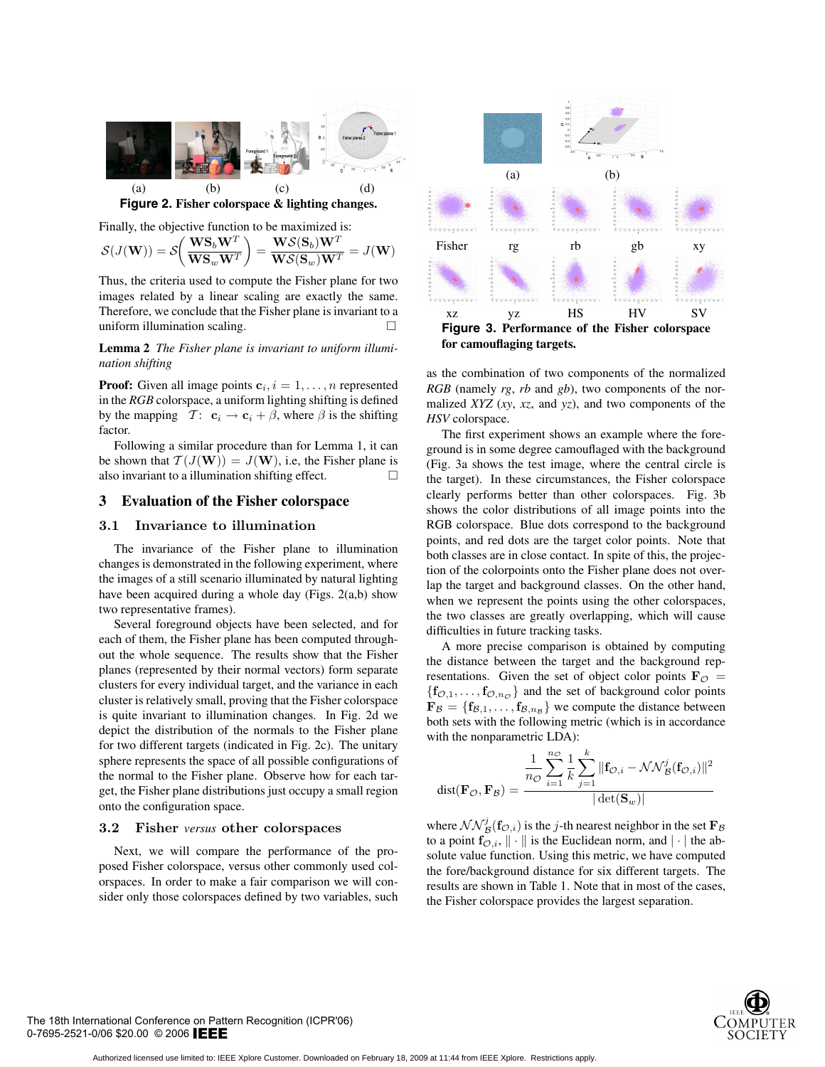

**Figure 2. Fisher colorspace & lighting changes.**

Finally, the objective function to be maximized is:

$$
\mathcal{S}(J(\mathbf{W})) = \mathcal{S}\left(\frac{\mathbf{W}\mathbf{S}_b\mathbf{W}^T}{\mathbf{W}\mathbf{S}_w\mathbf{W}^T}\right) = \frac{\mathbf{W}\mathcal{S}(\mathbf{S}_b)\mathbf{W}^T}{\mathbf{W}\mathcal{S}(\mathbf{S}_w)\mathbf{W}^T} = J(\mathbf{W})
$$

Thus, the criteria used to compute the Fisher plane for two images related by a linear scaling are exactly the same. Therefore, we conclude that the Fisher plane is invariant to a uniform illumination scaling. -

**Lemma 2** *The Fisher plane is invariant to uniform illumination shifting*

**Proof:** Given all image points  $c_i$ ,  $i = 1, \ldots, n$  represented in the *RGB* colorspace, a uniform lighting shifting is defined by the mapping  $\mathcal{T}$ :  $\mathbf{c}_i \rightarrow \mathbf{c}_i + \beta$ , where  $\beta$  is the shifting factor.

Following a similar procedure than for Lemma 1, it can be shown that  $T(J(W)) = J(W)$ , i.e, the Fisher plane is<br>also invariant to a illumination shifting effect. also invariant to a illumination shifting effect.

### **3 Evaluation of the Fisher colorspace**

The invariance of the Fisher plane to illumination changes is demonstrated in the following experiment, where the images of a still scenario illuminated by natural lighting have been acquired during a whole day (Figs. 2(a,b) show two representative frames).

Several foreground objects have been selected, and for each of them, the Fisher plane has been computed throughout the whole sequence. The results show that the Fisher planes (represented by their normal vectors) form separate clusters for every individual target, and the variance in each cluster is relatively small, proving that the Fisher colorspace is quite invariant to illumination changes. In Fig. 2d we depict the distribution of the normals to the Fisher plane for two different targets (indicated in Fig. 2c). The unitary sphere represents the space of all possible configurations of the normal to the Fisher plane. Observe how for each target, the Fisher plane distributions just occupy a small region onto the configuration space.

### **3.2 Fisher** *versus* **other colorspaces**

Next, we will compare the performance of the proposed Fisher colorspace, versus other commonly used colorspaces. In order to make a fair comparison we will consider only those colorspaces defined by two variables, such



as the combination of two components of the normalized *RGB* (namely *rg*, *rb* and *gb*), two components of the normalized *XYZ* (*xy*, *xz*, and *yz*), and two components of the *HSV* colorspace.

The first experiment shows an example where the foreground is in some degree camouflaged with the background (Fig. 3a shows the test image, where the central circle is the target). In these circumstances, the Fisher colorspace clearly performs better than other colorspaces. Fig. 3b shows the color distributions of all image points into the RGB colorspace. Blue dots correspond to the background points, and red dots are the target color points. Note that both classes are in close contact. In spite of this, the projection of the colorpoints onto the Fisher plane does not overlap the target and background classes. On the other hand, when we represent the points using the other colorspaces, the two classes are greatly overlapping, which will cause difficulties in future tracking tasks.

A more precise comparison is obtained by computing the distance between the target and the background representations. Given the set of object color points  $\mathbf{F}_{\mathcal{O}} =$  ${\bf f}_{\mathcal{O},1},\ldots,{\bf f}_{\mathcal{O},n_{\mathcal{O}}}$  and the set of background color points  $\mathbf{F}_{\mathcal{B}} = \{\mathbf{f}_{\mathcal{B},1}, \dots, \mathbf{f}_{\mathcal{B},n_{\mathcal{B}}}\}\$  we compute the distance between both sets with the following metric (which is in accordance with the nonparametric LDA):

$$
dist(\mathbf{F}_{\mathcal{O}}, \mathbf{F}_{\mathcal{B}}) = \frac{\frac{1}{n_{\mathcal{O}}} \sum_{i=1}^{n_{\mathcal{O}}} \frac{1}{k} \sum_{j=1}^{k} \|\mathbf{f}_{\mathcal{O},i} - \mathcal{NN}_{\mathcal{B}}^{j}(\mathbf{f}_{\mathcal{O},i})\|^{2}}{|\det(\mathbf{S}_{w})|}
$$

where  $\mathcal{NN}_{\mathcal{B}}^j(\mathbf{f}_{\mathcal{O},i})$  is the j-th nearest neighbor in the set  $\mathbf{F}_{\mathcal{B}}$ <br>to a point  $\mathbf{f}_{\mathcal{O}}$ .  $\|\cdot\|$  is the Euclidean norm, and  $\|\cdot\|$  the abto a point  $f_{\mathcal{O},i}$ ,  $\|\cdot\|$  is the Euclidean norm, and  $|\cdot|$  the absolute value function. Using this metric, we have computed the fore/background distance for six different targets. The results are shown in Table 1. Note that in most of the cases, the Fisher colorspace provides the largest separation.